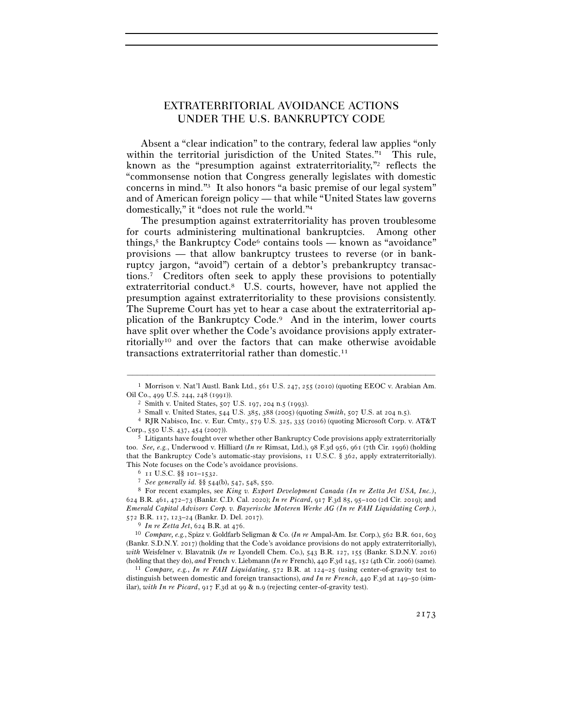# EXTRATERRITORIAL AVOIDANCE ACTIONS UNDER THE U.S. BANKRUPTCY CODE

Absent a "clear indication" to the contrary, federal law applies "only within the territorial jurisdiction of the United States."<sup>1</sup> This rule, known as the "presumption against extraterritoriality,"2 reflects the "commonsense notion that Congress generally legislates with domestic concerns in mind."3 It also honors "a basic premise of our legal system" and of American foreign policy — that while "United States law governs domestically," it "does not rule the world."4

The presumption against extraterritoriality has proven troublesome for courts administering multinational bankruptcies. Among other things,<sup>5</sup> the Bankruptcy Code<sup>6</sup> contains tools — known as "avoidance" provisions — that allow bankruptcy trustees to reverse (or in bankruptcy jargon, "avoid") certain of a debtor's prebankruptcy transactions.7 Creditors often seek to apply these provisions to potentially extraterritorial conduct.8 U.S. courts, however, have not applied the presumption against extraterritoriality to these provisions consistently. The Supreme Court has yet to hear a case about the extraterritorial application of the Bankruptcy Code.9 And in the interim, lower courts have split over whether the Code's avoidance provisions apply extraterritorially10 and over the factors that can make otherwise avoidable transactions extraterritorial rather than domestic.11

<sup>–––––––––––––––––––––––––––––––––––––––––––––––––––––––––––––</sup> <sup>1</sup> Morrison v. Nat'l Austl. Bank Ltd., 561 U.S. 247, 255 (2010) (quoting EEOC v. Arabian Am. Oil Co., 499 U.S. 244, 248 (1991)).<br>
<sup>2</sup> Smith v. United States, 507 U.S. 197, 204 n.5 (1993).<br>
<sup>3</sup> Small v. United States, 544 U.S. 385, 388 (2005) (quoting *Smith*, 507 U.S. at 204 n.5).<br>
<sup>4</sup> RJR Nabisco, Inc. v. Eur. Cm

Corp., 550 U.S. 437, 454 (<sup>2007</sup>)). 5 Litigants have fought over whether other Bankruptcy Code provisions apply extraterritorially

too. *See, e.g.*, Underwood v. Hilliard (*In re* Rimsat, Ltd.), 98 F.3d 956, 961 (7th Cir. 1996) (holding that the Bankruptcy Code's automatic-stay provisions, 11 U.S.C. § 362, apply extraterritorially). This Note focuses on the Code's avoidance provisions.

<sup>&</sup>lt;sup>6</sup> 11 U.S.C. §§ 101–1532.<br><sup>7</sup> See generally id. §§ 544(b), 547, 548, 550.<br><sup>8</sup> For recent examples, see *King v. Export Development Canada (In re Zetta Jet USA, Inc.)*, 624 B.R. 461, 472–73 (Bankr. C.D. Cal. 2020); *In re Picard*, 917 F.3d 85, 95–100 (2d Cir. 2019); and *Emerald Capital Advisors Corp. v. Bayerische Moteren Werke AG (In re FAH Liquidating Corp.)*,

<sup>572</sup> B.R. 117, 123–24 (Bankr. D. Del. <sup>2017</sup>). 9 *In re Zetta Jet*, 624 B.R. at <sup>476</sup>. 10 *Compare, e.g.*, Spizz v. Goldfarb Seligman & Co. (*In re* Ampal-Am. Isr. Corp.), 562 B.R. 601, <sup>603</sup> (Bankr. S.D.N.Y. 2017) (holding that the Code's avoidance provisions do not apply extraterritorially), *with* Weisfelner v. Blavatnik (*In re* Lyondell Chem. Co.), 543 B.R. 127, 155 (Bankr. S.D.N.Y. 2016)

<sup>(</sup>holding that they do), and French v. Liebmann (In re French), 440 F.3d 145, 152 (4th Cir. 2006) (same).<br><sup>11</sup> Compare, e.g., In re FAH Liquidating, 572 B.R. at 124–25 (using center-of-gravity test to distinguish between domestic and foreign transactions), *and In re French*, 440 F.3d at 149–50 (similar), *with In re Picard*, 917 F.3d at 99 & n.9 (rejecting center-of-gravity test).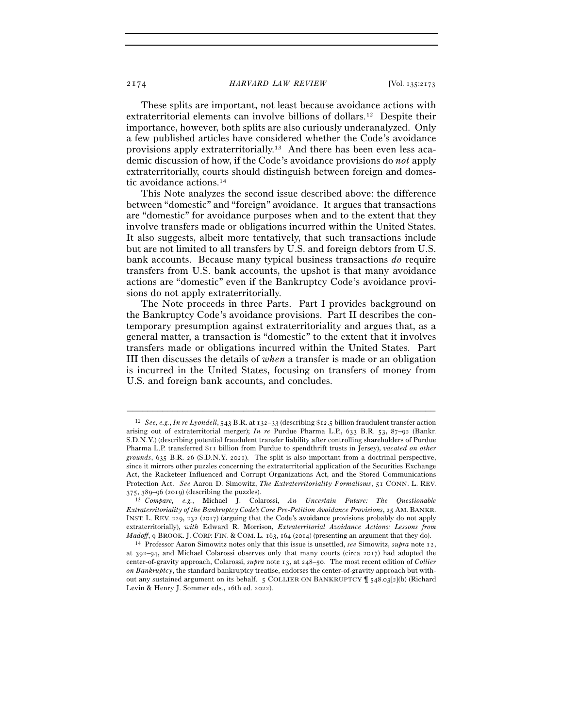These splits are important, not least because avoidance actions with extraterritorial elements can involve billions of dollars.12 Despite their importance, however, both splits are also curiously underanalyzed. Only a few published articles have considered whether the Code's avoidance provisions apply extraterritorially.13 And there has been even less academic discussion of how, if the Code's avoidance provisions do *not* apply extraterritorially, courts should distinguish between foreign and domestic avoidance actions.14

This Note analyzes the second issue described above: the difference between "domestic" and "foreign" avoidance. It argues that transactions are "domestic" for avoidance purposes when and to the extent that they involve transfers made or obligations incurred within the United States. It also suggests, albeit more tentatively, that such transactions include but are not limited to all transfers by U.S. and foreign debtors from U.S. bank accounts. Because many typical business transactions *do* require transfers from U.S. bank accounts, the upshot is that many avoidance actions are "domestic" even if the Bankruptcy Code's avoidance provisions do not apply extraterritorially.

The Note proceeds in three Parts. Part I provides background on the Bankruptcy Code's avoidance provisions. Part II describes the contemporary presumption against extraterritoriality and argues that, as a general matter, a transaction is "domestic" to the extent that it involves transfers made or obligations incurred within the United States. Part III then discusses the details of *when* a transfer is made or an obligation is incurred in the United States, focusing on transfers of money from U.S. and foreign bank accounts, and concludes.

<sup>12</sup> *See, e.g.*, *In re Lyondell*, 543 B.R. at 132–33 (describing \$12.5 billion fraudulent transfer action arising out of extraterritorial merger); *In re* Purdue Pharma L.P., 633 B.R. 53, 87–92 (Bankr. S.D.N.Y.) (describing potential fraudulent transfer liability after controlling shareholders of Purdue Pharma L.P. transferred \$11 billion from Purdue to spendthrift trusts in Jersey), *vacated on other grounds*, 635 B.R. 26 (S.D.N.Y. 2021). The split is also important from a doctrinal perspective, since it mirrors other puzzles concerning the extraterritorial application of the Securities Exchange Act, the Racketeer Influenced and Corrupt Organizations Act, and the Stored Communications Protection Act. *See* Aaron D. Simowitz, *The Extraterritoriality Formalisms*, 51 CONN. L. REV. <sup>375</sup>, 389–96 (<sup>2019</sup>) (describing the puzzles). 13 *Compare, e.g.*, Michael J. Colarossi, *An Uncertain Future: The Questionable* 

*Extraterritoriality of the Bankruptcy Code's Core Pre-Petition Avoidance Provisions*, 25 AM. BANKR. INST. L. REV. 229, 232 (2017) (arguing that the Code's avoidance provisions probably do not apply extraterritorially), *with* Edward R. Morrison, *Extraterritorial Avoidance Actions: Lessons from Madoff*, 9 BROOK. J. CORP. FIN. & COM. L. 163, 164 (<sup>2014</sup>) (presenting an argument that they do). 14 Professor Aaron Simowitz notes only that this issue is unsettled, *see* Simowitz, *supra* note 12,

at 392–94, and Michael Colarossi observes only that many courts (circa 2017) had adopted the center-of-gravity approach, Colarossi, *supra* note 13, at 248–50. The most recent edition of *Collier on Bankruptcy*, the standard bankruptcy treatise, endorses the center-of-gravity approach but without any sustained argument on its behalf. 5 COLLIER ON BANKRUPTCY ¶ 548.03[2](b) (Richard Levin & Henry J. Sommer eds., 16th ed. 2022).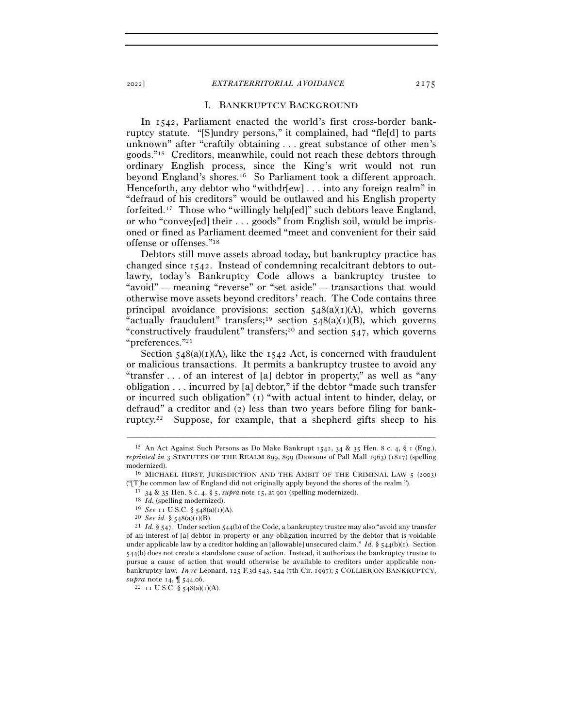### I. BANKRUPTCY BACKGROUND

In 1542, Parliament enacted the world's first cross-border bankruptcy statute. "[S]undry persons," it complained, had "fle[d] to parts unknown" after "craftily obtaining . . . great substance of other men's goods."15 Creditors, meanwhile, could not reach these debtors through ordinary English process, since the King's writ would not run beyond England's shores.16 So Parliament took a different approach. Henceforth, any debtor who "withdr[ew] . . . into any foreign realm" in "defraud of his creditors" would be outlawed and his English property forfeited.17 Those who "willingly help[ed]" such debtors leave England, or who "convey[ed] their . . . goods" from English soil, would be imprisoned or fined as Parliament deemed "meet and convenient for their said offense or offenses."18

Debtors still move assets abroad today, but bankruptcy practice has changed since 1542. Instead of condemning recalcitrant debtors to outlawry, today's Bankruptcy Code allows a bankruptcy trustee to "avoid" — meaning "reverse" or "set aside" — transactions that would otherwise move assets beyond creditors' reach. The Code contains three principal avoidance provisions: section  $548(a)(1)(A)$ , which governs "actually fraudulent" transfers;<sup>19</sup> section  $548(a)(1)(B)$ , which governs "constructively fraudulent" transfers;20 and section 547, which governs "preferences."21

Section  $548(a)(1)(A)$ , like the 1542 Act, is concerned with fraudulent or malicious transactions. It permits a bankruptcy trustee to avoid any "transfer . . . of an interest of [a] debtor in property," as well as "any obligation . . . incurred by [a] debtor," if the debtor "made such transfer or incurred such obligation" (1) "with actual intent to hinder, delay, or defraud" a creditor and (2) less than two years before filing for bankruptcy.22 Suppose, for example, that a shepherd gifts sheep to his

<sup>&</sup>lt;sup>15</sup> An Act Against Such Persons as Do Make Bankrupt 1542, 34 & 35 Hen. 8 c. 4, § 1 (Eng.), *reprinted in* 3 STATUTES OF THE REALM 899, 899 (Dawsons of Pall Mall 1963) (1817) (spelling modernized).  $16$  MICHAEL HIRST, JURISDICTION AND THE AMBIT OF THE CRIMINAL LAW  $5$  (2003)

<sup>(&</sup>quot;[T]<br>he common law of England did not originally apply beyond the shores of the realm.").<br><sup>17</sup> 34 & 35 Hen. 8 c. 4, § 5, *supra* note 15, at 901 (spelling modernized).<br><sup>18</sup> *Id.* (spelling modernized).<br><sup>19</sup> *See* 11 U.S.

of an interest of [a] debtor in property or any obligation incurred by the debtor that is voidable under applicable law by a creditor holding an [allowable] unsecured claim." *Id.* §  $544(b)(1)$ . Section 544(b) does not create a standalone cause of action. Instead, it authorizes the bankruptcy trustee to pursue a cause of action that would otherwise be available to creditors under applicable nonbankruptcy law. *In re* Leonard, 125 F.3d 543, 544 (7th Cir. 1997); 5 COLLIER ON BANKRUPTCY, *supra* note 14,  $\int$  544.06.<br><sup>22</sup> 11 U.S.C. § 548(a)(1)(A).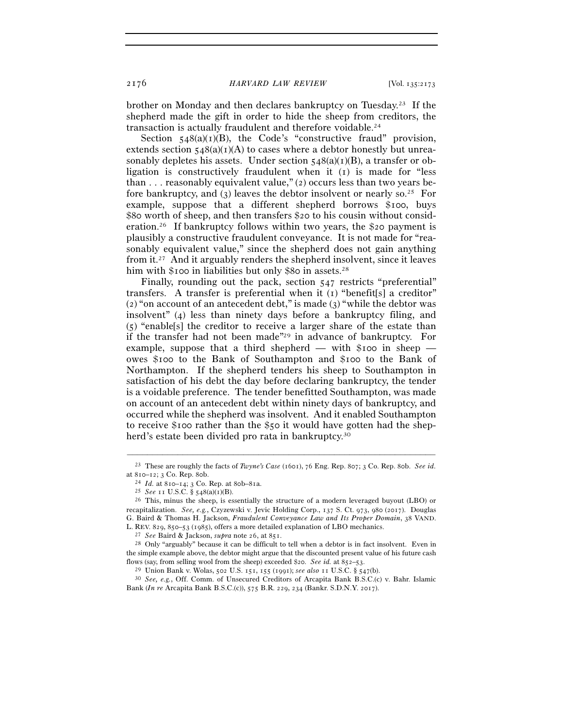brother on Monday and then declares bankruptcy on Tuesday.23 If the shepherd made the gift in order to hide the sheep from creditors, the transaction is actually fraudulent and therefore voidable.24

Section  $548(a)(1)(B)$ , the Code's "constructive fraud" provision, extends section  $548(a)(1)(A)$  to cases where a debtor honestly but unreasonably depletes his assets. Under section  $548(a)(1)(B)$ , a transfer or obligation is constructively fraudulent when it (1) is made for "less than . . . reasonably equivalent value," (2) occurs less than two years before bankruptcy, and (3) leaves the debtor insolvent or nearly so.<sup>25</sup> For example, suppose that a different shepherd borrows \$100, buys \$80 worth of sheep, and then transfers \$20 to his cousin without consideration.26 If bankruptcy follows within two years, the \$20 payment is plausibly a constructive fraudulent conveyance. It is not made for "reasonably equivalent value," since the shepherd does not gain anything from it.27 And it arguably renders the shepherd insolvent, since it leaves him with \$100 in liabilities but only \$80 in assets.<sup>28</sup>

Finally, rounding out the pack, section 547 restricts "preferential" transfers. A transfer is preferential when it (1) "benefit[s] a creditor" (2) "on account of an antecedent debt," is made (3) "while the debtor was insolvent" (4) less than ninety days before a bankruptcy filing, and (5) "enable[s] the creditor to receive a larger share of the estate than if the transfer had not been made"29 in advance of bankruptcy. For example, suppose that a third shepherd — with \$100 in sheep owes \$100 to the Bank of Southampton and \$100 to the Bank of Northampton. If the shepherd tenders his sheep to Southampton in satisfaction of his debt the day before declaring bankruptcy, the tender is a voidable preference. The tender benefitted Southampton, was made on account of an antecedent debt within ninety days of bankruptcy, and occurred while the shepherd was insolvent. And it enabled Southampton to receive \$100 rather than the \$50 it would have gotten had the shepherd's estate been divided pro rata in bankruptcy.<sup>30</sup>

<sup>–––––––––––––––––––––––––––––––––––––––––––––––––––––––––––––</sup> <sup>23</sup> These are roughly the facts of *Twyne's Case* (1601), 76 Eng. Rep. 807; 3 Co. Rep. 80b. *See id.*

at 810–12; 3 Co. Rep. 80b. 24  $Id$ . at 810–14; 3 Co. Rep. at 80b–81a.<br><sup>25</sup> *See* 11 U.S.C. § 548(a)(1)(B).<br><sup>25</sup> This, minus the sheep, is essentially the structure of a modern leveraged buyout (LBO) or recapitalization. *See, e.g.*, Czyzewski v. Jevic Holding Corp., 137 S. Ct. 973, 980 (2017). Douglas G. Baird & Thomas H. Jackson, *Fraudulent Conveyance Law and Its Proper Domain*, 38 VAND.

L. REV. 829, 850–53 (1985), offers a more detailed explanation of LBO mechanics.<br><sup>27</sup> See Baird & Jackson, *supra* note 26, at 851.<br><sup>28</sup> Only "arguably" because it can be difficult to tell when a debtor is in fact insolve the simple example above, the debtor might argue that the discounted present value of his future cash flows (say, from selling wool from the sheep) exceeded \$20. See id. at  $852-53$ .<br><sup>29</sup> Union Bank v. Wolas, 502 U.S. 151, 155 (1991); *see also* 11 U.S.C. § 547(b).<br><sup>30</sup> See, e.g., Off. Comm. of Unsecured Creditors of Arca

Bank (*In re* Arcapita Bank B.S.C.(c)), 575 B.R. 229, 234 (Bankr. S.D.N.Y. 2017).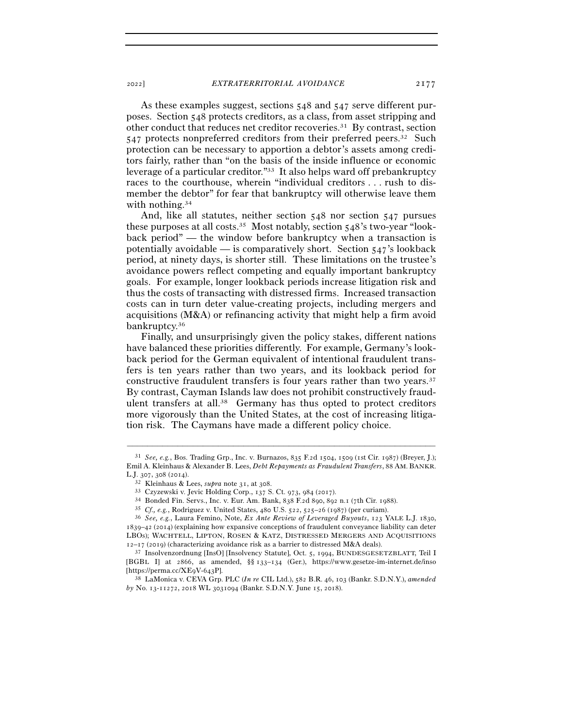As these examples suggest, sections 548 and 547 serve different purposes. Section 548 protects creditors, as a class, from asset stripping and other conduct that reduces net creditor recoveries.31 By contrast, section

547 protects nonpreferred creditors from their preferred peers.32 Such protection can be necessary to apportion a debtor's assets among creditors fairly, rather than "on the basis of the inside influence or economic leverage of a particular creditor."33 It also helps ward off prebankruptcy races to the courthouse, wherein "individual creditors . . . rush to dismember the debtor" for fear that bankruptcy will otherwise leave them with nothing.<sup>34</sup>

And, like all statutes, neither section 548 nor section 547 pursues these purposes at all costs.35 Most notably, section 548's two-year "lookback period" — the window before bankruptcy when a transaction is potentially avoidable — is comparatively short. Section  $547$ 's lookback period, at ninety days, is shorter still. These limitations on the trustee's avoidance powers reflect competing and equally important bankruptcy goals. For example, longer lookback periods increase litigation risk and thus the costs of transacting with distressed firms. Increased transaction costs can in turn deter value-creating projects, including mergers and acquisitions (M&A) or refinancing activity that might help a firm avoid bankruptcy.36

Finally, and unsurprisingly given the policy stakes, different nations have balanced these priorities differently. For example, Germany's lookback period for the German equivalent of intentional fraudulent transfers is ten years rather than two years, and its lookback period for constructive fraudulent transfers is four years rather than two years.37 By contrast, Cayman Islands law does not prohibit constructively fraudulent transfers at all.38 Germany has thus opted to protect creditors more vigorously than the United States, at the cost of increasing litigation risk. The Caymans have made a different policy choice.

<sup>31</sup> *See, e.g.*, Bos. Trading Grp., Inc. v. Burnazos, 835 F.2d 1504, 1509 (1st Cir. 1987) (Breyer, J.); Emil A. Kleinhaus & Alexander B. Lees, *Debt Repayments as Fraudulent Transfers*, 88 AM. BANKR. L.J. 307, 308 (2014).<br>
<sup>32</sup> Kleinhaus & Lees, *supra* note 31, at 308.<br>
<sup>33</sup> Czyzewski v. Jevic Holding Corp., 137 S. Ct. 973, 984 (2017).<br>
<sup>34</sup> Bonded Fin. Servs., Inc. v. Eur. Am. Bank, 838 F.2d 890, 892 n.1 (7th Cir. 1

<sup>1839</sup>–42 (2014) (explaining how expansive conceptions of fraudulent conveyance liability can deter LBOs); WACHTELL, LIPTON, ROSEN & KATZ, DISTRESSED MERGERS AND ACQUISITIONS  $12-17$  (2019) (characterizing avoidance risk as a barrier to distressed M&A deals).<br><sup>37</sup> Insolvenzordnung [InsO] [Insolvency Statute], Oct. 5, 1994, BUNDESGESETZBLATT, Teil I

<sup>[</sup>BGBL I] at 2866, as amended, §§ 133–134 (Ger.), https://www.gesetze-im-internet.de/inso [https://perma.cc/XE9V-<sup>643</sup>P]. 38 LaMonica v. CEVA Grp. PLC (*In re* CIL Ltd.), 582 B.R. 46, 103 (Bankr. S.D.N.Y.), *amended* 

*by* No. 13-11272, 2018 WL 3031094 (Bankr. S.D.N.Y. June 15, 2018).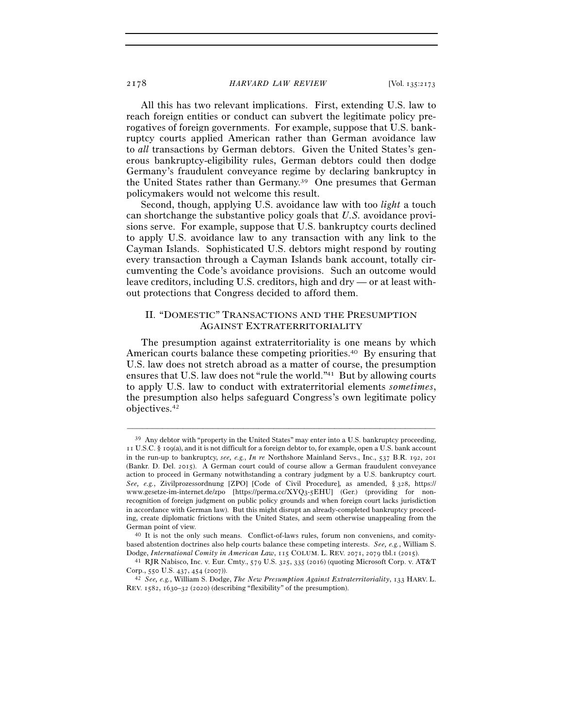All this has two relevant implications. First, extending U.S. law to reach foreign entities or conduct can subvert the legitimate policy prerogatives of foreign governments. For example, suppose that U.S. bankruptcy courts applied American rather than German avoidance law to *all* transactions by German debtors. Given the United States's generous bankruptcy-eligibility rules, German debtors could then dodge Germany's fraudulent conveyance regime by declaring bankruptcy in the United States rather than Germany.39 One presumes that German policymakers would not welcome this result.

Second, though, applying U.S. avoidance law with too *light* a touch can shortchange the substantive policy goals that *U.S.* avoidance provisions serve. For example, suppose that U.S. bankruptcy courts declined to apply U.S. avoidance law to any transaction with any link to the Cayman Islands. Sophisticated U.S. debtors might respond by routing every transaction through a Cayman Islands bank account, totally circumventing the Code's avoidance provisions. Such an outcome would leave creditors, including U.S. creditors, high and dry — or at least without protections that Congress decided to afford them.

# II. "DOMESTIC" TRANSACTIONS AND THE PRESUMPTION AGAINST EXTRATERRITORIALITY

The presumption against extraterritoriality is one means by which American courts balance these competing priorities.40 By ensuring that U.S. law does not stretch abroad as a matter of course, the presumption ensures that U.S. law does not "rule the world."41 But by allowing courts to apply U.S. law to conduct with extraterritorial elements *sometimes*, the presumption also helps safeguard Congress's own legitimate policy objectives.42

 $39$  Any debtor with "property in the United States" may enter into a U.S. bankruptcy proceeding, 11 U.S.C. § 109(a), and it is not difficult for a foreign debtor to, for example, open a U.S. bank account in the run-up to bankruptcy, *see, e.g.*, *In re* Northshore Mainland Servs., Inc., 537 B.R. 192, 201 (Bankr. D. Del. 2015). A German court could of course allow a German fraudulent conveyance action to proceed in Germany notwithstanding a contrary judgment by a U.S. bankruptcy court. *See, e.g.*, Zivilprozessordnung [ZPO] [Code of Civil Procedure], as amended, § 328, https:// www.gesetze-im-internet.de/zpo [https://perma.cc/XYQ3-5EHU] (Ger.) (providing for nonrecognition of foreign judgment on public policy grounds and when foreign court lacks jurisdiction in accordance with German law). But this might disrupt an already-completed bankruptcy proceeding, create diplomatic frictions with the United States, and seem otherwise unappealing from the German point of view. 40 It is not the only such means. Conflict-of-laws rules, forum non conveniens, and comity-

based abstention doctrines also help courts balance these competing interests. *See, e.g.*, William S.

Dodge, *International Comity in American Law*, 115 COLUM. L. REV. 2071, 2079 tbl.1 (<sup>2015</sup>). 41 RJR Nabisco, Inc. v. Eur. Cmty., 579 U.S. 325, 335 (2016) (quoting Microsoft Corp. v. AT&T Corp., 550 U.S. 437, 454 (<sup>2007</sup>)). 42 *See, e.g.*, William S. Dodge, *The New Presumption Against Extraterritoriality*, 133 HARV. L.

REV. 1582, 1630–32 (2020) (describing "flexibility" of the presumption).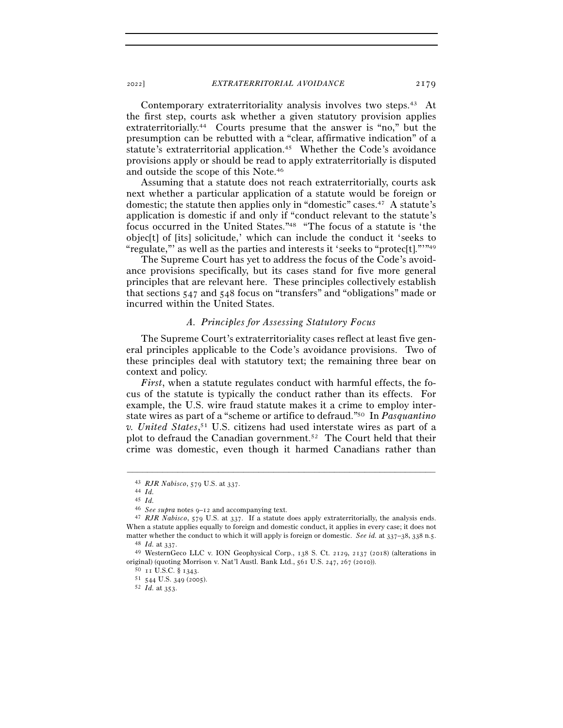Contemporary extraterritoriality analysis involves two steps.43 At the first step, courts ask whether a given statutory provision applies extraterritorially.44 Courts presume that the answer is "no," but the presumption can be rebutted with a "clear, affirmative indication" of a statute's extraterritorial application.45 Whether the Code's avoidance provisions apply or should be read to apply extraterritorially is disputed and outside the scope of this Note.46

Assuming that a statute does not reach extraterritorially, courts ask next whether a particular application of a statute would be foreign or domestic; the statute then applies only in "domestic" cases.47 A statute's application is domestic if and only if "conduct relevant to the statute's focus occurred in the United States."48 "The focus of a statute is 'the objec[t] of [its] solicitude,' which can include the conduct it 'seeks to "regulate,"' as well as the parties and interests it 'seeks to "protec[t]."'"49

The Supreme Court has yet to address the focus of the Code's avoidance provisions specifically, but its cases stand for five more general principles that are relevant here. These principles collectively establish that sections 547 and 548 focus on "transfers" and "obligations" made or incurred within the United States.

#### *A. Principles for Assessing Statutory Focus*

The Supreme Court's extraterritoriality cases reflect at least five general principles applicable to the Code's avoidance provisions. Two of these principles deal with statutory text; the remaining three bear on context and policy.

*First*, when a statute regulates conduct with harmful effects, the focus of the statute is typically the conduct rather than its effects. For example, the U.S. wire fraud statute makes it a crime to employ interstate wires as part of a "scheme or artifice to defraud."50 In *Pasquantino v. United States*, 51 U.S. citizens had used interstate wires as part of a plot to defraud the Canadian government.52 The Court held that their crime was domestic, even though it harmed Canadians rather than

<sup>43</sup> *RJR Nabisco*, 579 U.S. at <sup>337</sup>. 44 *Id.*

 $^{45}$   $Id.$   $^{46}$   $See$   $supra$  notes  $g\mbox{--}$   $12$  and accompanying text.

<sup>&</sup>lt;sup>47</sup> *RJR Nabisco*, 579 U.S. at 337. If a statute does apply extraterritorially, the analysis ends. When a statute applies equally to foreign and domestic conduct, it applies in every case; it does not matter whether the conduct to which it will apply is foreign or domestic. See id. at 337–38, 338 n.5.<br><sup>48</sup> *Id.* at 337.<br><sup>49</sup> WesternGeco LLC v. ION Geophysical Corp., 138 S. Ct. 2129, 2137 (2018) (alterations in

original) (quoting Morrison v. Nat'l Austl. Bank Ltd., 561 U.S. 247, 267 (2010)).<br><sup>50</sup> 11 U.S.C. § 1343.<br><sup>51</sup> 544 U.S. 349 (2005).<br><sup>52</sup> *Id.* at 353.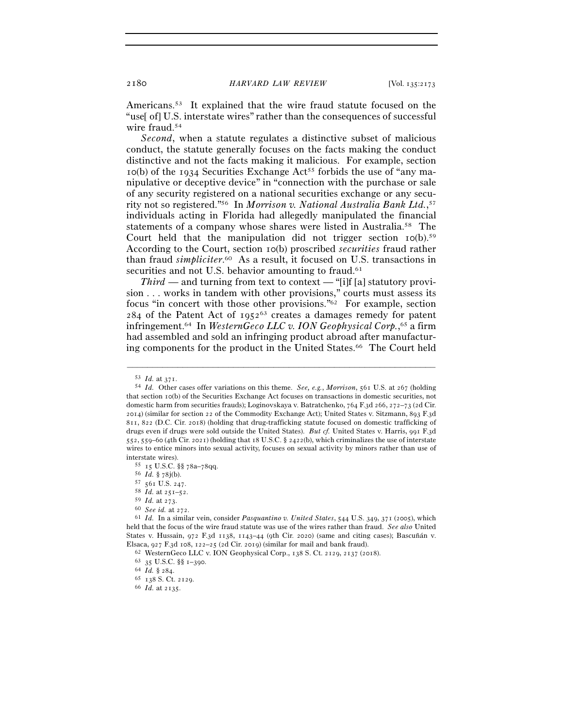Americans.53 It explained that the wire fraud statute focused on the "use[ of] U.S. interstate wires" rather than the consequences of successful wire fraud.<sup>54</sup>

*Second*, when a statute regulates a distinctive subset of malicious conduct, the statute generally focuses on the facts making the conduct distinctive and not the facts making it malicious. For example, section  $10(b)$  of the 1934 Securities Exchange Act<sup>55</sup> forbids the use of "any manipulative or deceptive device" in "connection with the purchase or sale of any security registered on a national securities exchange or any security not so registered."56 In *Morrison v. National Australia Bank Ltd.*, 57 individuals acting in Florida had allegedly manipulated the financial statements of a company whose shares were listed in Australia.58 The Court held that the manipulation did not trigger section  $I\text{o(b)}$ .<sup>59</sup> According to the Court, section 10(b) proscribed *securities* fraud rather than fraud *simpliciter*. 60 As a result, it focused on U.S. transactions in securities and not U.S. behavior amounting to fraud.<sup>61</sup>

*Third* — and turning from text to context — "[i]f [a] statutory provision . . . works in tandem with other provisions," courts must assess its focus "in concert with those other provisions."62 For example, section  $284$  of the Patent Act of 1952<sup>63</sup> creates a damages remedy for patent infringement.64 In *WesternGeco LLC v. ION Geophysical Corp.*, 65 a firm had assembled and sold an infringing product abroad after manufacturing components for the product in the United States.<sup>66</sup> The Court held

<sup>53</sup> *Id.* at <sup>371</sup>. 54 *Id.* Other cases offer variations on this theme. *See, e.g.*, *Morrison*, 561 U.S. at 267 (holding that section 10(b) of the Securities Exchange Act focuses on transactions in domestic securities, not domestic harm from securities frauds); Loginovskaya v. Batratchenko, 764 F.3d 266, 272–73 (2d Cir. 2014) (similar for section 22 of the Commodity Exchange Act); United States v. Sitzmann, 893 F.3d 811, 822 (D.C. Cir. 2018) (holding that drug-trafficking statute focused on domestic trafficking of drugs even if drugs were sold outside the United States). *But cf.* United States v. Harris, 991 F.3d 552, 559–60 (4th Cir. 2021) (holding that 18 U.S.C. § 2422(b), which criminalizes the use of interstate wires to entice minors into sexual activity, focuses on sexual activity by minors rather than use of

interstate wires).<br>
55 15 U.S.C. §§ 78a–78qq.<br>
56 *Id*. § 78j(b).<br>
57 561 U.S. 247.<br>
58 *Id.* at 251–52.<br>
59 *Id.* at 273.<br>
60 *See id.* at 272.<br>
61 *Id.* In a similar vein, consider *Pasquantino v. United States*, 544 U.S held that the focus of the wire fraud statute was use of the wires rather than fraud. *See also* United States v. Hussain, 972 F.3d 1138, 1143–44 (9th Cir. 2020) (same and citing cases); Bascuñán v. Elsaca, 927 F.3d 108, 122-25 (2d Cir. 2019) (similar for mail and bank fraud).<br>
<sup>62</sup> WesternGeco LLC v. ION Geophysical Corp., 138 S. Ct. 2129, 2137 (2018).<br>
<sup>63</sup> 35 U.S.C. §§ 1-390.<br>
<sup>64</sup> Id. § 284.<br>
<sup>65</sup> 138 S. Ct. 2129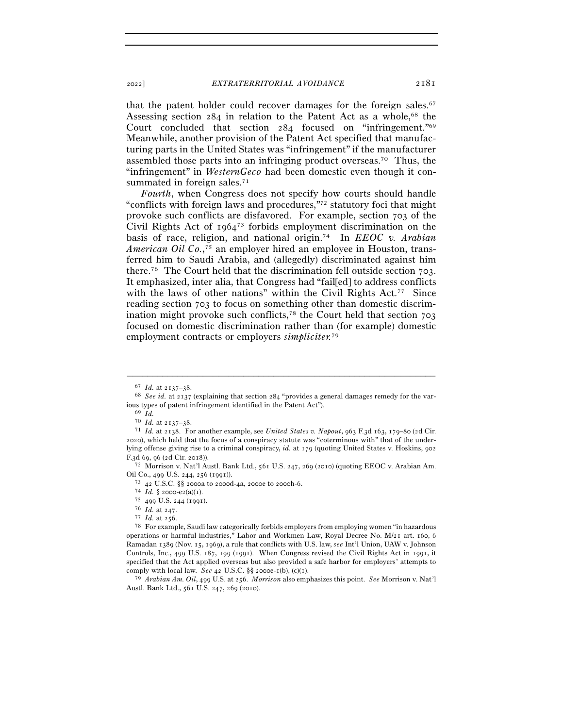that the patent holder could recover damages for the foreign sales.<sup>67</sup> Assessing section 284 in relation to the Patent Act as a whole,<sup>68</sup> the Court concluded that section 284 focused on "infringement."69 Meanwhile, another provision of the Patent Act specified that manufacturing parts in the United States was "infringement" if the manufacturer assembled those parts into an infringing product overseas.70 Thus, the "infringement" in *WesternGeco* had been domestic even though it consummated in foreign sales.<sup>71</sup>

*Fourth*, when Congress does not specify how courts should handle "conflicts with foreign laws and procedures,"72 statutory foci that might provoke such conflicts are disfavored. For example, section 703 of the Civil Rights Act of 196473 forbids employment discrimination on the basis of race, religion, and national origin.74 In *EEOC v. Arabian American Oil Co.*, 75 an employer hired an employee in Houston, transferred him to Saudi Arabia, and (allegedly) discriminated against him there.76 The Court held that the discrimination fell outside section 703. It emphasized, inter alia, that Congress had "fail[ed] to address conflicts with the laws of other nations" within the Civil Rights Act.<sup>77</sup> Since reading section 703 to focus on something other than domestic discrimination might provoke such conflicts, $78$  the Court held that section  $703$ focused on domestic discrimination rather than (for example) domestic employment contracts or employers *simpliciter.*<sup>79</sup>

–––––––––––––––––––––––––––––––––––––––––––––––––––––––––––––

Oil Co., 499 U.S. 244, 256 (1991).  $73 \,$  42 U.S.C. §§ 2000a to 2000d-4a, 2000e to 2000h-6.

<sup>79</sup> *Arabian Am. Oil*, 499 U.S. at 256. *Morrison* also emphasizes this point. *See* Morrison v. Nat'l Austl. Bank Ltd., 561 U.S. 247, 269 (2010).

<sup>&</sup>lt;sup>67</sup> *Id.* at 2137–38.<br><sup>68</sup> *See id.* at 2137 (explaining that section 284 "provides a general damages remedy for the various types of patent infringement identified in the Patent Act").<br><sup>69</sup> *Id.*<br>70 *Id.* at  $2137-38$ .

<sup>70</sup> *Id.* at 2137–<sup>38</sup>. 71 *Id.* at 2138. For another example, see *United States v. Napout*, 963 F.3d 163, 179–80 (2d Cir. 2020), which held that the focus of a conspiracy statute was "coterminous with" that of the underlying offense giving rise to a criminal conspiracy, *id.* at 179 (quoting United States v. Hoskins, 902 F.3d 69, 96 (2d Cir. <sup>2018</sup>)). 72 Morrison v. Nat'l Austl. Bank Ltd., 561 U.S. 247, 269 (2010) (quoting EEOC v. Arabian Am.

<sup>74</sup> *Id.* § <sup>2000</sup>-e2(a)(<sup>1</sup>). 75 <sup>499</sup> U.S. 244 (<sup>1991</sup>). 76 *Id.* at <sup>247</sup>. 77 *Id.* at <sup>256</sup>. 78 For example, Saudi law categorically forbids employers from employing women "in hazardous operations or harmful industries," Labor and Workmen Law, Royal Decree No. M/21 art. 160, 6 Ramadan 1389 (Nov. 15, 1969), a rule that conflicts with U.S. law, *see* Int'l Union, UAW v. Johnson Controls, Inc., 499 U.S. 187, 199 (1991). When Congress revised the Civil Rights Act in 1991, it specified that the Act applied overseas but also provided a safe harbor for employers' attempts to comply with local law. *See 42* U.S.C.  $\S$  2000e-1(b), (c)(1).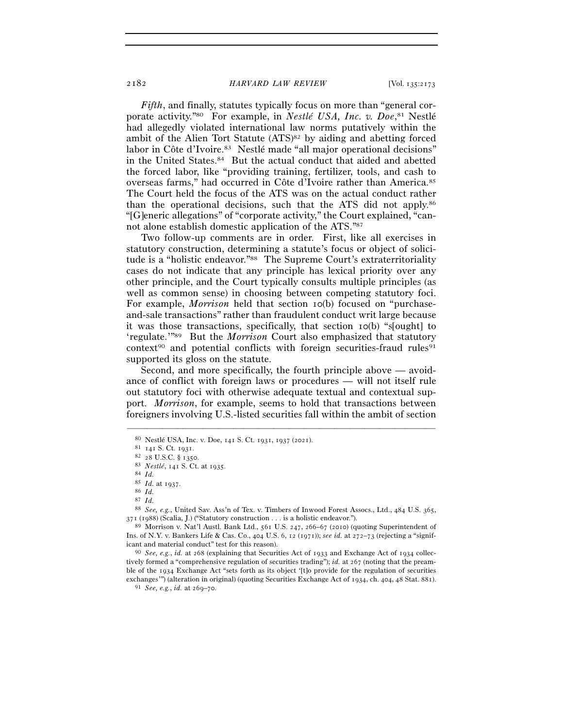*Fifth*, and finally, statutes typically focus on more than "general corporate activity."80 For example, in *Nestlé USA, Inc. v. Doe*, 81 Nestlé had allegedly violated international law norms putatively within the ambit of the Alien Tort Statute  $(ATS)^{82}$  by aiding and abetting forced labor in Côte d'Ivoire.<sup>83</sup> Nestlé made "all major operational decisions" in the United States.84 But the actual conduct that aided and abetted the forced labor, like "providing training, fertilizer, tools, and cash to overseas farms," had occurred in Côte d'Ivoire rather than America.85 The Court held the focus of the ATS was on the actual conduct rather than the operational decisions, such that the ATS did not apply.86 "[G]eneric allegations" of "corporate activity," the Court explained, "cannot alone establish domestic application of the ATS."87

Two follow-up comments are in order. First, like all exercises in statutory construction, determining a statute's focus or object of solicitude is a "holistic endeavor."88 The Supreme Court's extraterritoriality cases do not indicate that any principle has lexical priority over any other principle, and the Court typically consults multiple principles (as well as common sense) in choosing between competing statutory foci. For example, *Morrison* held that section 10(b) focused on "purchaseand-sale transactions" rather than fraudulent conduct writ large because it was those transactions, specifically, that section 10(b) "s[ought] to 'regulate.'"89 But the *Morrison* Court also emphasized that statutory  $context<sup>90</sup>$  and potential conflicts with foreign securities-fraud rules<sup>91</sup> supported its gloss on the statute.

Second, and more specifically, the fourth principle above — avoidance of conflict with foreign laws or procedures — will not itself rule out statutory foci with otherwise adequate textual and contextual support. *Morrison*, for example, seems to hold that transactions between foreigners involving U.S.-listed securities fall within the ambit of section

–––––––––––––––––––––––––––––––––––––––––––––––––––––––––––––

87 *Id.*

<sup>80</sup> Nestlé USA, Inc. v. Doe, 141 S. Ct. 1931, 1937 (<sup>2021</sup>). 81 <sup>141</sup> S. Ct. <sup>1931</sup>. 82 <sup>28</sup> U.S.C. § <sup>1350</sup>. 83 *Nestlé*, 141 S. Ct. at <sup>1935</sup>. 84 *Id.*

<sup>85</sup> *Id.* at <sup>1937</sup>. 86 *Id.*

<sup>88</sup> *See, e.g.*, United Sav. Ass'n of Tex. v. Timbers of Inwood Forest Assocs., Ltd., 484 U.S. 365,  $371$  (1988) (Scalia, J.) ("Statutory construction . . . is a holistic endeavor.").<br><sup>89</sup> Morrison v. Nat'l Austl. Bank Ltd., 561 U.S. 247, 266–67 (2010) (quoting Superintendent of

Ins. of N.Y. v. Bankers Life & Cas. Co., 404 U.S. 6, 12 (1971)); *see id.* at 272–73 (rejecting a "significant and material conduct" test for this reason). 90 *See, e.g.*, *id.* at 268 (explaining that Securities Act of 1933 and Exchange Act of 1934 collec-

tively formed a "comprehensive regulation of securities trading"); *id.* at 267 (noting that the preamble of the 1934 Exchange Act "sets forth as its object '[t]o provide for the regulation of securities exchanges'") (alteration in original) (quoting Securities Exchange Act of 1934, ch. 404, 48 Stat. <sup>881</sup>). 91 *See, e.g.*, *id.* at 269–70.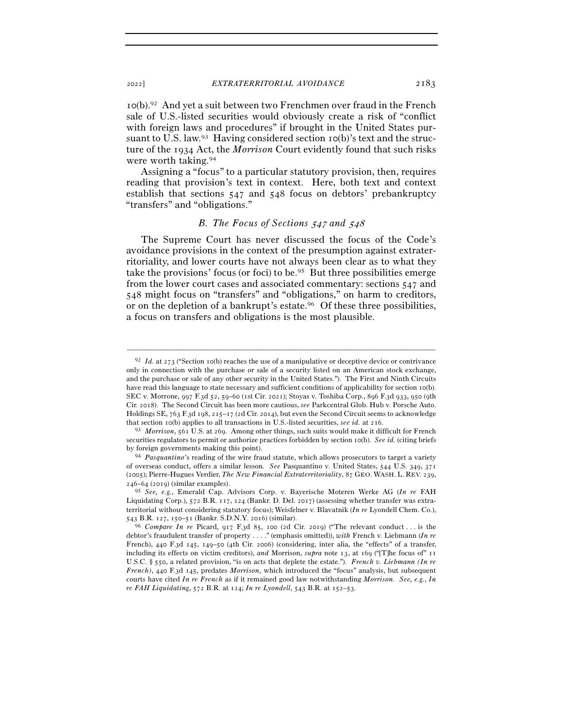10(b).92 And yet a suit between two Frenchmen over fraud in the French sale of U.S.-listed securities would obviously create a risk of "conflict with foreign laws and procedures" if brought in the United States pursuant to U.S. law.<sup>93</sup> Having considered section  $I_0(b)$ 's text and the structure of the 1934 Act, the *Morrison* Court evidently found that such risks were worth taking.94

Assigning a "focus" to a particular statutory provision, then, requires reading that provision's text in context. Here, both text and context establish that sections 547 and 548 focus on debtors' prebankruptcy "transfers" and "obligations."

# *B. The Focus of Sections* 547 *and* 548

The Supreme Court has never discussed the focus of the Code's avoidance provisions in the context of the presumption against extraterritoriality, and lower courts have not always been clear as to what they take the provisions' focus (or foci) to be.95 But three possibilities emerge from the lower court cases and associated commentary: sections 547 and 548 might focus on "transfers" and "obligations," on harm to creditors, or on the depletion of a bankrupt's estate.<sup>96</sup> Of these three possibilities, a focus on transfers and obligations is the most plausible.

<sup>92</sup> *Id.* at 273 ("Section 10(b) reaches the use of a manipulative or deceptive device or contrivance only in connection with the purchase or sale of a security listed on an American stock exchange, and the purchase or sale of any other security in the United States."). The First and Ninth Circuits have read this language to state necessary and sufficient conditions of applicability for section 10(b). SEC v. Morrone, 997 F.3d 52, 59–60 (1st Cir. 2021); Stoyas v. Toshiba Corp., 896 F.3d 933, 950 (9th Cir. 2018). The Second Circuit has been more cautious, *see* Parkcentral Glob. Hub v. Porsche Auto. Holdings SE, 763 F.3d 198, 215–17 (2d Cir. 2014), but even the Second Circuit seems to acknowledge that section 10(b) applies to all transactions in U.S.-listed securities, *see id.* at <sup>216</sup>. 93 *Morrison*, 561 U.S. at 269. Among other things, such suits would make it difficult for French

securities regulators to permit or authorize practices forbidden by section 10(b). *See id.* (citing briefs by foreign governments making this point). 94 *Pasquantino*'s reading of the wire fraud statute, which allows prosecutors to target a variety

of overseas conduct, offers a similar lesson. *See* Pasquantino v. United States, 544 U.S. 349, 371 (2005); Pierre-Hugues Verdier, *The New Financial Extraterritoriality*, 87 GEO. WASH. L. REV. 239, 246–64 (2019) (similar examples).

<sup>95</sup> *See, e.g.*, Emerald Cap. Advisors Corp. v. Bayerische Moteren Werke AG (*In re* FAH Liquidating Corp.), 572 B.R. 117, 124 (Bankr. D. Del. 2017) (assessing whether transfer was extraterritorial without considering statutory focus); Weisfelner v. Blavatnik (*In re* Lyondell Chem. Co.),

<sup>543</sup> B.R. 127, 150–51 (Bankr. S.D.N.Y. <sup>2016</sup>) (similar). 96 *Compare In re* Picard, 917 F.3d 85, 100 (2d Cir. 2019) ("The relevant conduct . . . is the debtor's fraudulent transfer of property . . . ." (emphasis omitted)), *with* French v. Liebmann (*In re*  French), 440 F.3d 145, 149–50 (4th Cir. 2006) (considering, inter alia, the "effects" of a transfer, including its effects on victim creditors), *and* Morrison, *supra* note 13, at 169 ("[T]he focus of" 11 U.S.C. § 550, a related provision, "is on acts that deplete the estate."). *French v. Liebmann (In re French)*, 440 F.3d 145, predates *Morrison*, which introduced the "focus" analysis, but subsequent courts have cited *In re French* as if it remained good law notwithstanding *Morrison*. *See, e.g.*, *In re FAH Liquidating*, 572 B.R. at 124; *In re Lyondell*, 543 B.R. at 152–53.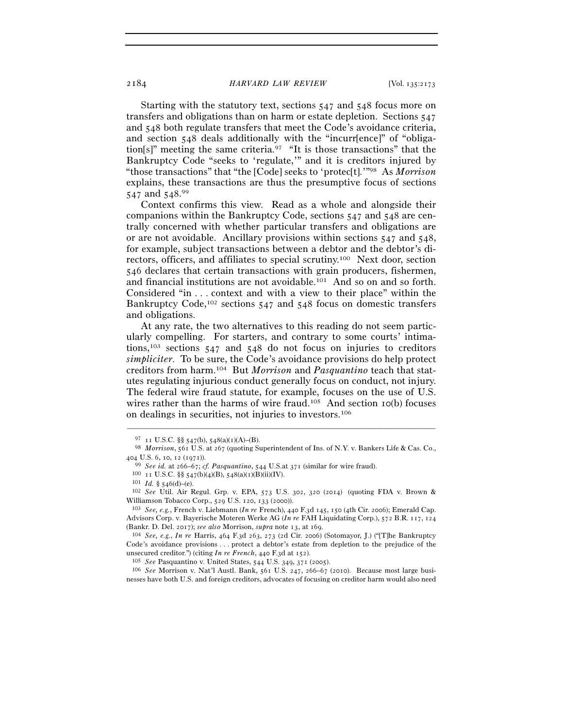Starting with the statutory text, sections 547 and 548 focus more on transfers and obligations than on harm or estate depletion. Sections 547 and 548 both regulate transfers that meet the Code's avoidance criteria, and section 548 deals additionally with the "incurr[ence]" of "obligation[s]" meeting the same criteria.97 "It is those transactions" that the Bankruptcy Code "seeks to 'regulate,'" and it is creditors injured by "those transactions" that "the [Code] seeks to 'protec[t].'"98 As *Morrison* explains, these transactions are thus the presumptive focus of sections 547 and 548.99

Context confirms this view. Read as a whole and alongside their companions within the Bankruptcy Code, sections 547 and 548 are centrally concerned with whether particular transfers and obligations are or are not avoidable. Ancillary provisions within sections  $547$  and  $548$ , for example, subject transactions between a debtor and the debtor's directors, officers, and affiliates to special scrutiny.100 Next door, section 546 declares that certain transactions with grain producers, fishermen, and financial institutions are not avoidable.101 And so on and so forth. Considered "in . . . context and with a view to their place" within the Bankruptcy Code,<sup>102</sup> sections 547 and 548 focus on domestic transfers and obligations.

At any rate, the two alternatives to this reading do not seem particularly compelling. For starters, and contrary to some courts' intimations,103 sections 547 and 548 do not focus on injuries to creditors *simpliciter*. To be sure, the Code's avoidance provisions do help protect creditors from harm.104 But *Morrison* and *Pasquantino* teach that statutes regulating injurious conduct generally focus on conduct, not injury. The federal wire fraud statute, for example, focuses on the use of U.S. wires rather than the harms of wire fraud.<sup>105</sup> And section  $I_0(b)$  focuses on dealings in securities, not injuries to investors.106

<sup>97</sup> <sup>11</sup> U.S.C. §§ <sup>547</sup>(b), 548(a)(1)(A)–(B). 98 *Morrison*, 561 U.S. at 267 (quoting Superintendent of Ins. of N.Y. v. Bankers Life & Cas. Co., 404 U.S. 6, 10, 12 (1971)).<br><sup>99</sup> *See id.* at 266–67; *cf. Pasquantino*, 544 U.S.at 371 (similar for wire fraud).<br><sup>100</sup> 11 U.S.C. §§ 547(b)(4)(B), 548(a)(1)(B)(ii)(IV).<br><sup>101</sup> *Id.* § 546(d)–(e).<br><sup>102</sup> *See* Util. Air Regu

Williamson Tobacco Corp., 529 U.S. 120, 133 (<sup>2000</sup>)). 103 *See, e.g.*, French v. Liebmann (*In re* French), 440 F.3d 145, 150 (4th Cir. 2006); Emerald Cap.

Advisors Corp. v. Bayerische Moteren Werke AG (*In re* FAH Liquidating Corp.), 572 B.R. 117, 124 (Bankr. D. Del. 2017); *see also* Morrison, *supra* note 13, at <sup>169</sup>. 104 *See, e.g.*, *In re* Harris, 464 F.3d 263, 273 (2d Cir. 2006) (Sotomayor, J.) ("[T]he Bankruptcy

Code's avoidance provisions . . . protect a debtor's estate from depletion to the prejudice of the unsecured creditor.") (citing *In re French*, 440 F.3d at 152).<br><sup>105</sup> See Pasquantino v. United States, 544 U.S. 349, 371 (2005).<br><sup>106</sup> See Morrison v. Nat'l Austl. Bank, 561 U.S. 247, 266–67 (2010). Because most large bu

nesses have both U.S. and foreign creditors, advocates of focusing on creditor harm would also need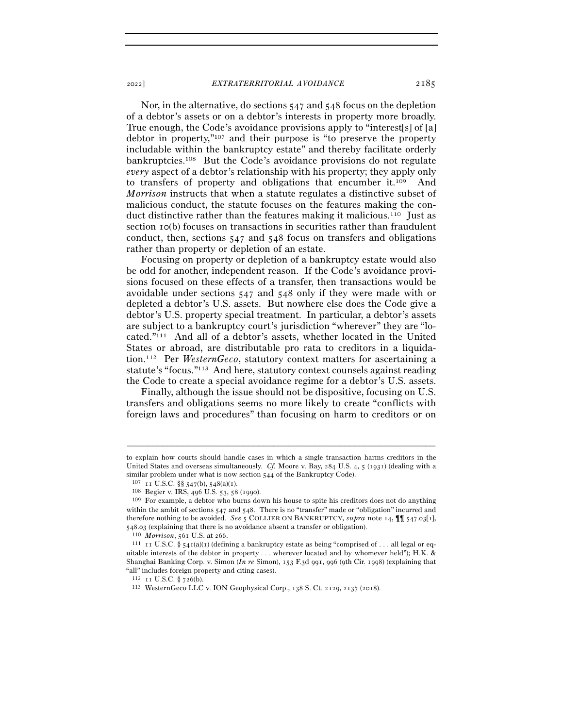Nor, in the alternative, do sections 547 and 548 focus on the depletion of a debtor's assets or on a debtor's interests in property more broadly. True enough, the Code's avoidance provisions apply to "interest[s] of [a] debtor in property,"107 and their purpose is "to preserve the property includable within the bankruptcy estate" and thereby facilitate orderly bankruptcies.108 But the Code's avoidance provisions do not regulate *every* aspect of a debtor's relationship with his property; they apply only to transfers of property and obligations that encumber it.109 And

*Morrison* instructs that when a statute regulates a distinctive subset of malicious conduct, the statute focuses on the features making the conduct distinctive rather than the features making it malicious.<sup>110</sup> Just as section 10(b) focuses on transactions in securities rather than fraudulent conduct, then, sections 547 and 548 focus on transfers and obligations rather than property or depletion of an estate.

Focusing on property or depletion of a bankruptcy estate would also be odd for another, independent reason. If the Code's avoidance provisions focused on these effects of a transfer, then transactions would be avoidable under sections 547 and 548 only if they were made with or depleted a debtor's U.S. assets. But nowhere else does the Code give a debtor's U.S. property special treatment. In particular, a debtor's assets are subject to a bankruptcy court's jurisdiction "wherever" they are "located."111 And all of a debtor's assets, whether located in the United States or abroad, are distributable pro rata to creditors in a liquidation.112 Per *WesternGeco*, statutory context matters for ascertaining a statute's "focus."113 And here, statutory context counsels against reading the Code to create a special avoidance regime for a debtor's U.S. assets.

Finally, although the issue should not be dispositive, focusing on U.S. transfers and obligations seems no more likely to create "conflicts with foreign laws and procedures" than focusing on harm to creditors or on

to explain how courts should handle cases in which a single transaction harms creditors in the United States and overseas simultaneously. *Cf.* Moore v. Bay, 284 U.S. 4, 5 (1931) (dealing with a similar problem under what is now section 544 of the Bankruptcy Code).<br><sup>107</sup> <sup>11</sup> U.S.C. §§ 547(b), 548(a)(1).<br><sup>108</sup> Begier v. IRS, 496 U.S. 53, 58 (1990).<br><sup>109</sup> For example, a debtor who burns down his house to spite his

within the ambit of sections 547 and 548. There is no "transfer" made or "obligation" incurred and therefore nothing to be avoided. *See* 5 COLLIER ON BANKRUPTCY, *supra* note 14,  $\P\P$  547.03[1], 548.03 (explaining that there is no avoidance absent a transfer or obligation).

<sup>&</sup>lt;sup>110</sup> *Morrison*, 561 U.S. at 266. **111 110** *Morrison*, 561 U.S. at 266. 111 **11 111 11 11***C.S. §* **541(a)(1) (defining a bankruptcy estate as being "comprised of . . . all legal or eq**uitable interests of the debtor in property . . . wherever located and by whomever held"); H.K. & Shanghai Banking Corp. v. Simon (*In re* Simon), 153 F.3d 991, 996 (9th Cir. 1998) (explaining that "all" includes foreign property and citing cases).

<sup>112</sup> <sup>11</sup> U.S.C. § <sup>726</sup>(b). 113 WesternGeco LLC v. ION Geophysical Corp., 138 S. Ct. 2129, 2137 (2018).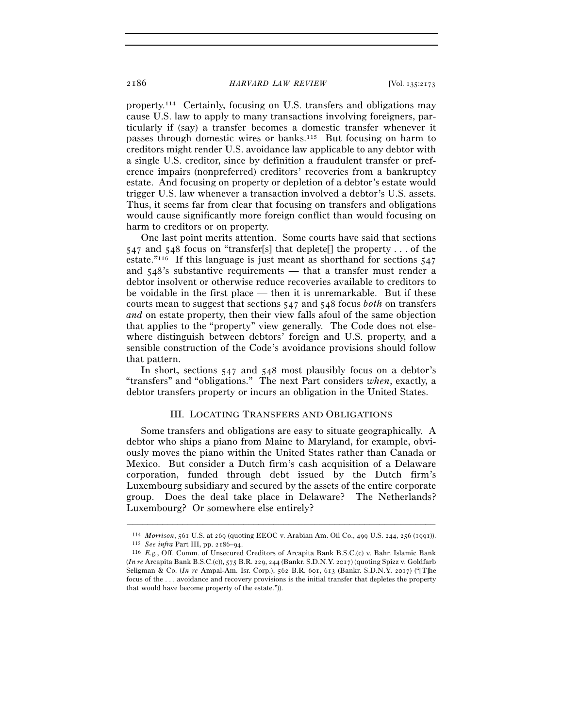property.114 Certainly, focusing on U.S. transfers and obligations may cause U.S. law to apply to many transactions involving foreigners, particularly if (say) a transfer becomes a domestic transfer whenever it passes through domestic wires or banks.115 But focusing on harm to creditors might render U.S. avoidance law applicable to any debtor with a single U.S. creditor, since by definition a fraudulent transfer or preference impairs (nonpreferred) creditors' recoveries from a bankruptcy estate. And focusing on property or depletion of a debtor's estate would trigger U.S. law whenever a transaction involved a debtor's U.S. assets. Thus, it seems far from clear that focusing on transfers and obligations would cause significantly more foreign conflict than would focusing on harm to creditors or on property.

One last point merits attention. Some courts have said that sections 547 and 548 focus on "transfer[s] that deplete[] the property . . . of the estate."116 If this language is just meant as shorthand for sections 547 and 548's substantive requirements — that a transfer must render a debtor insolvent or otherwise reduce recoveries available to creditors to be voidable in the first place — then it is unremarkable. But if these courts mean to suggest that sections 547 and 548 focus *both* on transfers *and* on estate property, then their view falls afoul of the same objection that applies to the "property" view generally. The Code does not elsewhere distinguish between debtors' foreign and U.S. property, and a sensible construction of the Code's avoidance provisions should follow that pattern.

In short, sections 547 and 548 most plausibly focus on a debtor's "transfers" and "obligations." The next Part considers *when*, exactly, a debtor transfers property or incurs an obligation in the United States.

# III. LOCATING TRANSFERS AND OBLIGATIONS

Some transfers and obligations are easy to situate geographically. A debtor who ships a piano from Maine to Maryland, for example, obviously moves the piano within the United States rather than Canada or Mexico. But consider a Dutch firm's cash acquisition of a Delaware corporation, funded through debt issued by the Dutch firm's Luxembourg subsidiary and secured by the assets of the entire corporate group. Does the deal take place in Delaware? The Netherlands? Luxembourg? Or somewhere else entirely?

<sup>&</sup>lt;sup>114</sup> *Morrison*, 561 U.S. at 269 (quoting EEOC v. Arabian Am. Oil Co., 499 U.S. 244, 256 (1991)).<br><sup>115</sup> *See infra* Part III, pp. 2186–94.<br><sup>116</sup> *E.g.*, Off. Comm. of Unsecured Creditors of Arcapita Bank B.S.C.(c) v. Bah

<sup>(</sup>*In re* Arcapita Bank B.S.C.(c)), 575 B.R. 229, 244 (Bankr. S.D.N.Y. 2017) (quoting Spizz v. Goldfarb Seligman & Co. (*In re* Ampal-Am. Isr. Corp.), 562 B.R. 601, 613 (Bankr. S.D.N.Y. 2017) ("[T]he focus of the . . . avoidance and recovery provisions is the initial transfer that depletes the property that would have become property of the estate.")).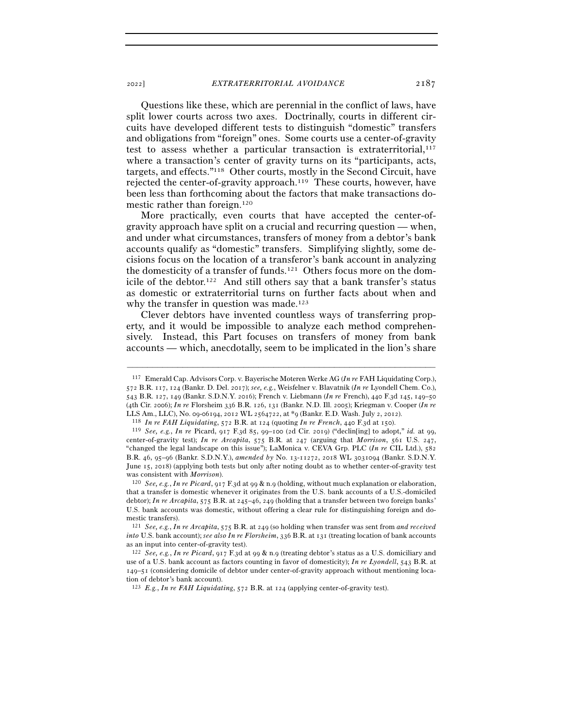Questions like these, which are perennial in the conflict of laws, have split lower courts across two axes. Doctrinally, courts in different circuits have developed different tests to distinguish "domestic" transfers and obligations from "foreign" ones. Some courts use a center-of-gravity test to assess whether a particular transaction is extraterritorial, $117$ where a transaction's center of gravity turns on its "participants, acts, targets, and effects."118 Other courts, mostly in the Second Circuit, have rejected the center-of-gravity approach.119 These courts, however, have been less than forthcoming about the factors that make transactions domestic rather than foreign.120

More practically, even courts that have accepted the center-ofgravity approach have split on a crucial and recurring question — when, and under what circumstances, transfers of money from a debtor's bank accounts qualify as "domestic" transfers. Simplifying slightly, some decisions focus on the location of a transferor's bank account in analyzing the domesticity of a transfer of funds.121 Others focus more on the domicile of the debtor.122 And still others say that a bank transfer's status as domestic or extraterritorial turns on further facts about when and why the transfer in question was made.<sup>123</sup>

Clever debtors have invented countless ways of transferring property, and it would be impossible to analyze each method comprehensively. Instead, this Part focuses on transfers of money from bank accounts — which, anecdotally, seem to be implicated in the lion's share

<sup>117</sup> Emerald Cap. Advisors Corp. v. Bayerische Moteren Werke AG (*In re* FAH Liquidating Corp.), 572 B.R. 117, 124 (Bankr. D. Del. 2017); *see, e.g.*, Weisfelner v. Blavatnik (*In re* Lyondell Chem. Co.), 543 B.R. 127, 149 (Bankr. S.D.N.Y. 2016); French v. Liebmann (*In re* French), 440 F.3d 145, 149–50 (4th Cir. 2006); *In re* Florsheim 336 B.R. 126, 131 (Bankr. N.D. Ill. 2005); Kriegman v. Cooper (*In re*  LLS Am., LLC), No. 09-06194, 2012 WL 2564722, at \*9 (Bankr. E.D. Wash. July 2, 2012).<br><sup>118</sup> In re FAH Liquidating, 572 B.R. at 124 (quoting In re French, 440 F.3d at 150).<br><sup>119</sup> See, e.g., In re Picard, 917 F.3d 85, 99–10

center-of-gravity test); *In re Arcapita*, 575 B.R. at 247 (arguing that *Morrison*, 561 U.S. 247, "changed the legal landscape on this issue"); LaMonica v. CEVA Grp. PLC (*In re* CIL Ltd.), 582 B.R. 46, 95–96 (Bankr. S.D.N.Y.), *amended by* No. 13-11272, 2018 WL 3031094 (Bankr. S.D.N.Y. June 15, 2018) (applying both tests but only after noting doubt as to whether center-of-gravity test was consistent with *Morrison*). 120 *See, e.g.*, *In re Picard*, 917 F.3d at 99 & n.9 (holding, without much explanation or elaboration,

that a transfer is domestic whenever it originates from the U.S. bank accounts of a U.S.-domiciled debtor); *In re Arcapita*, 575 B.R. at 245–46, 249 (holding that a transfer between two foreign banks' U.S. bank accounts was domestic, without offering a clear rule for distinguishing foreign and domestic transfers).

<sup>121</sup> *See, e.g.*, *In re Arcapita*, 575 B.R. at 249 (so holding when transfer was sent from *and received into* U.S. bank account); *see also In re Florsheim*, 336 B.R. at 131 (treating location of bank accounts as an input into center-of-gravity test).

<sup>122</sup> *See, e.g.*, *In re Picard*, 917 F.3d at 99 & n.9 (treating debtor's status as a U.S. domiciliary and use of a U.S. bank account as factors counting in favor of domesticity); *In re Lyondell*, 543 B.R. at 149–51 (considering domicile of debtor under center-of-gravity approach without mentioning location of debtor's bank account).

<sup>123</sup> *E.g.*, *In re FAH Liquidating*, 572 B.R. at 124 (applying center-of-gravity test).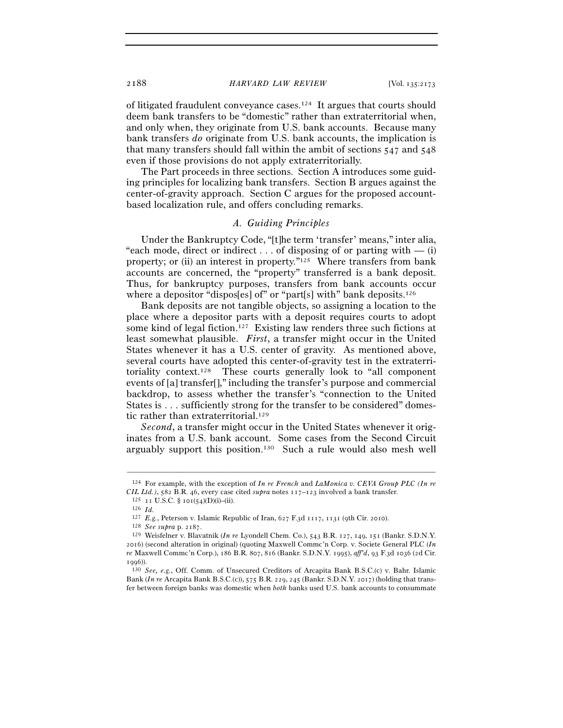of litigated fraudulent conveyance cases.124 It argues that courts should deem bank transfers to be "domestic" rather than extraterritorial when, and only when, they originate from U.S. bank accounts. Because many bank transfers *do* originate from U.S. bank accounts, the implication is that many transfers should fall within the ambit of sections 547 and 548 even if those provisions do not apply extraterritorially.

The Part proceeds in three sections. Section A introduces some guiding principles for localizing bank transfers. Section B argues against the center-of-gravity approach. Section C argues for the proposed accountbased localization rule, and offers concluding remarks.

# *A. Guiding Principles*

Under the Bankruptcy Code, "[t]he term 'transfer' means," inter alia, "each mode, direct or indirect  $\dots$  of disposing of or parting with  $-$  (i) property; or (ii) an interest in property."125 Where transfers from bank accounts are concerned, the "property" transferred is a bank deposit. Thus, for bankruptcy purposes, transfers from bank accounts occur where a depositor "dispos[es] of" or "part[s] with" bank deposits.<sup>126</sup>

Bank deposits are not tangible objects, so assigning a location to the place where a depositor parts with a deposit requires courts to adopt some kind of legal fiction.127 Existing law renders three such fictions at least somewhat plausible. *First*, a transfer might occur in the United States whenever it has a U.S. center of gravity. As mentioned above, several courts have adopted this center-of-gravity test in the extraterritoriality context.128 These courts generally look to "all component events of [a] transfer[]," including the transfer's purpose and commercial backdrop, to assess whether the transfer's "connection to the United States is . . . sufficiently strong for the transfer to be considered" domestic rather than extraterritorial.<sup>129</sup>

*Second*, a transfer might occur in the United States whenever it originates from a U.S. bank account. Some cases from the Second Circuit arguably support this position.130 Such a rule would also mesh well

<sup>–––––––––––––––––––––––––––––––––––––––––––––––––––––––––––––</sup> 124 For example, with the exception of *In re French* and *LaMonica v. CEVA Group PLC (In re CIL Ltd.)*, 582 B.R. 46, every case cited *supra* notes 117–123 involved a bank transfer. <sup>125</sup> 11 U.S.C. § 101(54)(D)(i)–(ii). <sup>126</sup> *Id.* <sup>125</sup> *E.g.*, Peterson v. Islamic Republic of Iran, 627 F.3d 1117, 1131 (9th Cir

<sup>&</sup>lt;sup>128</sup> See supra p. 2187.<br><sup>129</sup> Weisfelner v. Blavatnik (*In re* Lyondell Chem. Co.), 543 B.R. 127, 149, 151 (Bankr. S.D.N.Y. 2016) (second alteration in original) (quoting Maxwell Commc'n Corp. v. Societe General PLC (*In re* Maxwell Commc'n Corp.), 186 B.R. 807, 816 (Bankr. S.D.N.Y. 1995), *aff'd*, 93 F.3d 1036 (2d Cir. <sup>1996</sup>)). 130 *See, e.g.*, Off. Comm. of Unsecured Creditors of Arcapita Bank B.S.C.(c) v. Bahr. Islamic

Bank (*In re* Arcapita Bank B.S.C.(c)), 575 B.R. 229, 245 (Bankr. S.D.N.Y. 2017) (holding that transfer between foreign banks was domestic when *both* banks used U.S. bank accounts to consummate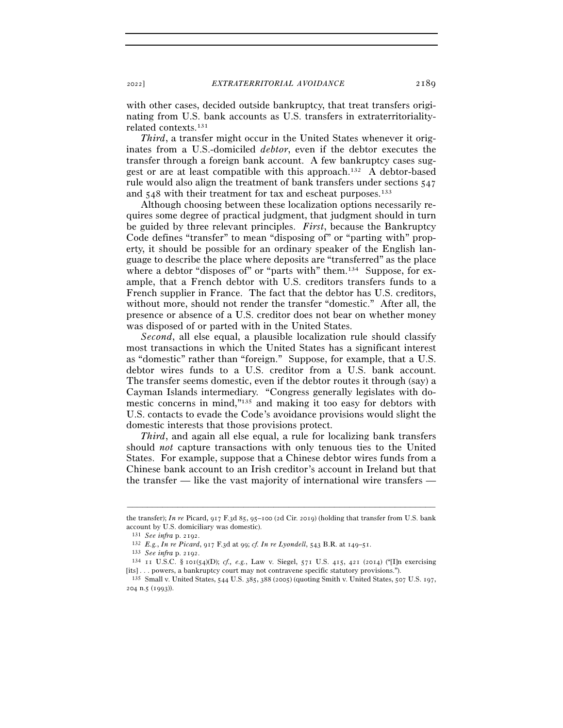with other cases, decided outside bankruptcy, that treat transfers originating from U.S. bank accounts as U.S. transfers in extraterritorialityrelated contexts.131

*Third*, a transfer might occur in the United States whenever it originates from a U.S.-domiciled *debtor*, even if the debtor executes the transfer through a foreign bank account. A few bankruptcy cases suggest or are at least compatible with this approach.132 A debtor-based rule would also align the treatment of bank transfers under sections 547 and 548 with their treatment for tax and escheat purposes.<sup>133</sup>

Although choosing between these localization options necessarily requires some degree of practical judgment, that judgment should in turn be guided by three relevant principles. *First*, because the Bankruptcy Code defines "transfer" to mean "disposing of" or "parting with" property, it should be possible for an ordinary speaker of the English language to describe the place where deposits are "transferred" as the place where a debtor "disposes of" or "parts with" them.<sup>134</sup> Suppose, for example, that a French debtor with U.S. creditors transfers funds to a French supplier in France. The fact that the debtor has U.S. creditors, without more, should not render the transfer "domestic." After all, the presence or absence of a U.S. creditor does not bear on whether money was disposed of or parted with in the United States.

*Second*, all else equal, a plausible localization rule should classify most transactions in which the United States has a significant interest as "domestic" rather than "foreign." Suppose, for example, that a U.S. debtor wires funds to a U.S. creditor from a U.S. bank account. The transfer seems domestic, even if the debtor routes it through (say) a Cayman Islands intermediary. "Congress generally legislates with domestic concerns in mind,"135 and making it too easy for debtors with U.S. contacts to evade the Code's avoidance provisions would slight the domestic interests that those provisions protect.

*Third*, and again all else equal, a rule for localizing bank transfers should *not* capture transactions with only tenuous ties to the United States. For example, suppose that a Chinese debtor wires funds from a Chinese bank account to an Irish creditor's account in Ireland but that the transfer — like the vast majority of international wire transfers —

<sup>–––––––––––––––––––––––––––––––––––––––––––––––––––––––––––––</sup> the transfer); *In re* Picard, 917 F.3d 85, 95–100 (2d Cir. 2019) (holding that transfer from U.S. bank account by U.S. domiciliary was domestic).

<sup>&</sup>lt;sup>131</sup> *See infra* p. 2192.<br>
<sup>132</sup> *E.g., In re Picard,* 917 F.3d at 99; *cf. In re Lyondell*, 543 B.R. at 149–51.<br>
<sup>133</sup> *See infra* p. 2192.<br>
<sup>134</sup> 11 U.S.C. § 101(54)(D); *cf., e.g.*, Law v. Siegel, 571 U.S. 415, 421 (2 [its] . . . powers, a bankruptcy court may not contravene specific statutory provisions."). 135 Small v. United States, 544 U.S. 385, 388 (2005) (quoting Smith v. United States, 507 U.S. 197,

<sup>204</sup> n.5 (1993)).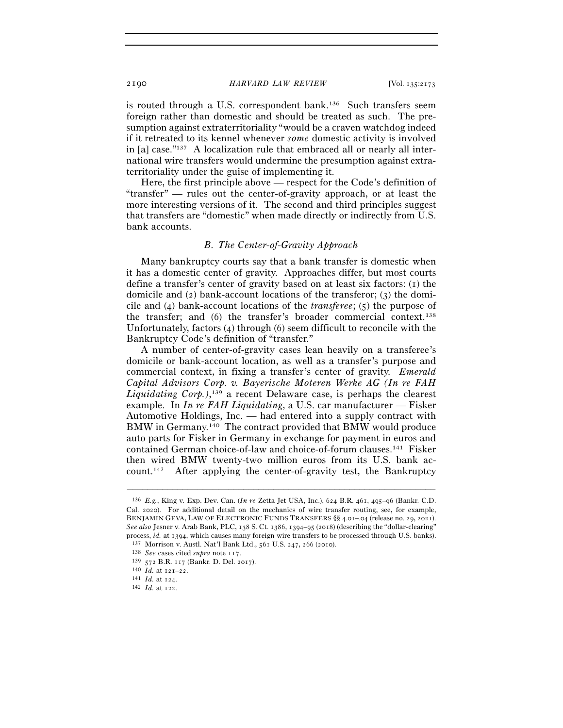is routed through a U.S. correspondent bank.<sup>136</sup> Such transfers seem foreign rather than domestic and should be treated as such. The presumption against extraterritoriality "would be a craven watchdog indeed if it retreated to its kennel whenever *some* domestic activity is involved in [a] case."137 A localization rule that embraced all or nearly all international wire transfers would undermine the presumption against extraterritoriality under the guise of implementing it.

Here, the first principle above — respect for the Code's definition of "transfer" — rules out the center-of-gravity approach, or at least the more interesting versions of it. The second and third principles suggest that transfers are "domestic" when made directly or indirectly from U.S. bank accounts.

## *B. The Center-of-Gravity Approach*

Many bankruptcy courts say that a bank transfer is domestic when it has a domestic center of gravity. Approaches differ, but most courts define a transfer's center of gravity based on at least six factors: (1) the domicile and (2) bank-account locations of the transferor; (3) the domicile and (4) bank-account locations of the *transferee*; (5) the purpose of the transfer; and (6) the transfer's broader commercial context.138 Unfortunately, factors (4) through (6) seem difficult to reconcile with the Bankruptcy Code's definition of "transfer."

A number of center-of-gravity cases lean heavily on a transferee's domicile or bank-account location, as well as a transfer's purpose and commercial context, in fixing a transfer's center of gravity. *Emerald Capital Advisors Corp. v. Bayerische Moteren Werke AG (In re FAH Liquidating Corp.)*, 139 a recent Delaware case, is perhaps the clearest example. In *In re FAH Liquidating*, a U.S. car manufacturer — Fisker Automotive Holdings, Inc. — had entered into a supply contract with BMW in Germany.140 The contract provided that BMW would produce auto parts for Fisker in Germany in exchange for payment in euros and contained German choice-of-law and choice-of-forum clauses.141 Fisker then wired BMW twenty-two million euros from its U.S. bank account.142 After applying the center-of-gravity test, the Bankruptcy

<sup>136</sup> *E.g.*, King v. Exp. Dev. Can. (*In re* Zetta Jet USA, Inc.), 624 B.R. 461, 495–96 (Bankr. C.D. Cal. 2020). For additional detail on the mechanics of wire transfer routing, see, for example, BENJAMIN GEVA, LAW OF ELECTRONIC FUNDS TRANSFERS §§ 4.01–.04 (release no. 29, 2021). *See also* Jesner v. Arab Bank, PLC, 138 S. Ct. 1386, 1394–95 (2018) (describing the "dollar-clearing" process, *id.* at 1394, which causes many foreign wire transfers to be processed through U.S. banks).<br>
<sup>137</sup> Morrison v. Austl. Nat'l Bank Ltd., 561 U.S. 247, 266 (2010).<br>
<sup>138</sup> *See* cases cited *supra* note 117.<br>
<sup>139</sup>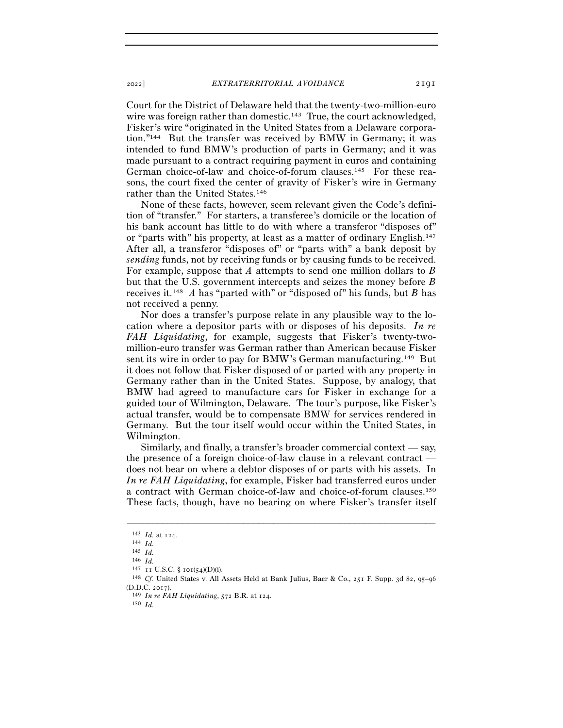Court for the District of Delaware held that the twenty-two-million-euro wire was foreign rather than domestic.<sup>143</sup> True, the court acknowledged, Fisker's wire "originated in the United States from a Delaware corporation."144 But the transfer was received by BMW in Germany; it was intended to fund BMW's production of parts in Germany; and it was made pursuant to a contract requiring payment in euros and containing German choice-of-law and choice-of-forum clauses.145 For these reasons, the court fixed the center of gravity of Fisker's wire in Germany rather than the United States.146

None of these facts, however, seem relevant given the Code's definition of "transfer." For starters, a transferee's domicile or the location of his bank account has little to do with where a transferor "disposes of" or "parts with" his property, at least as a matter of ordinary English.147 After all, a transferor "disposes of" or "parts with" a bank deposit by *sending* funds, not by receiving funds or by causing funds to be received. For example, suppose that *A* attempts to send one million dollars to *B* but that the U.S. government intercepts and seizes the money before *B*  receives it.148 *A* has "parted with" or "disposed of" his funds, but *B* has not received a penny.

Nor does a transfer's purpose relate in any plausible way to the location where a depositor parts with or disposes of his deposits. *In re FAH Liquidating*, for example, suggests that Fisker's twenty-twomillion-euro transfer was German rather than American because Fisker sent its wire in order to pay for BMW's German manufacturing.149 But it does not follow that Fisker disposed of or parted with any property in Germany rather than in the United States. Suppose, by analogy, that BMW had agreed to manufacture cars for Fisker in exchange for a guided tour of Wilmington, Delaware. The tour's purpose, like Fisker's actual transfer, would be to compensate BMW for services rendered in Germany. But the tour itself would occur within the United States, in Wilmington.

Similarly, and finally, a transfer's broader commercial context — say, the presence of a foreign choice-of-law clause in a relevant contract does not bear on where a debtor disposes of or parts with his assets. In *In re FAH Liquidating*, for example, Fisker had transferred euros under a contract with German choice-of-law and choice-of-forum clauses.150 These facts, though, have no bearing on where Fisker's transfer itself

<sup>143</sup> *Id.* at <sup>124</sup>. 144 *Id.*

<sup>145</sup> *Id.*

<sup>146</sup> *Id.*<br>147 **11 U.S.C.** § 101(54)(D)(i).

<sup>&</sup>lt;sup>148</sup> Cf. United States v. All Assets Held at Bank Julius, Baer & Co., 251 F. Supp. 3d 82, 95-96 (D.D.C. <sup>2017</sup>). 149 *In re FAH Liquidating*, 572 B.R. at <sup>124</sup>. 150 *Id.*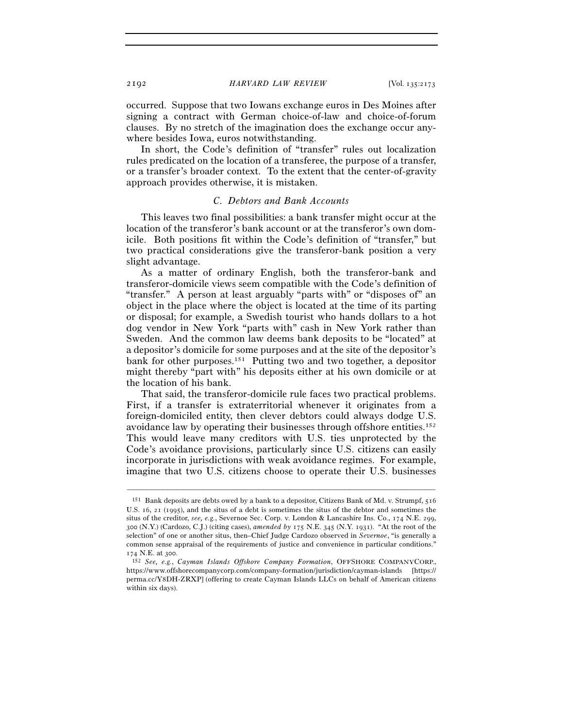occurred. Suppose that two Iowans exchange euros in Des Moines after signing a contract with German choice-of-law and choice-of-forum clauses. By no stretch of the imagination does the exchange occur anywhere besides Iowa, euros notwithstanding.

In short, the Code's definition of "transfer" rules out localization rules predicated on the location of a transferee, the purpose of a transfer, or a transfer's broader context. To the extent that the center-of-gravity approach provides otherwise, it is mistaken.

### *C. Debtors and Bank Accounts*

This leaves two final possibilities: a bank transfer might occur at the location of the transferor's bank account or at the transferor's own domicile. Both positions fit within the Code's definition of "transfer," but two practical considerations give the transferor-bank position a very slight advantage.

As a matter of ordinary English, both the transferor-bank and transferor-domicile views seem compatible with the Code's definition of "transfer." A person at least arguably "parts with" or "disposes of" an object in the place where the object is located at the time of its parting or disposal; for example, a Swedish tourist who hands dollars to a hot dog vendor in New York "parts with" cash in New York rather than Sweden. And the common law deems bank deposits to be "located" at a depositor's domicile for some purposes and at the site of the depositor's bank for other purposes.151 Putting two and two together, a depositor might thereby "part with" his deposits either at his own domicile or at the location of his bank.

That said, the transferor-domicile rule faces two practical problems. First, if a transfer is extraterritorial whenever it originates from a foreign-domiciled entity, then clever debtors could always dodge U.S. avoidance law by operating their businesses through offshore entities.152 This would leave many creditors with U.S. ties unprotected by the Code's avoidance provisions, particularly since U.S. citizens can easily incorporate in jurisdictions with weak avoidance regimes. For example, imagine that two U.S. citizens choose to operate their U.S. businesses

<sup>151</sup> Bank deposits are debts owed by a bank to a depositor, Citizens Bank of Md. v. Strumpf, 516 U.S. 16, 21 (1995), and the situs of a debt is sometimes the situs of the debtor and sometimes the situs of the creditor, *see, e.g.*, Severnoe Sec. Corp. v. London & Lancashire Ins. Co., 174 N.E. 299, 300 (N.Y.) (Cardozo, C.J.) (citing cases), *amended by* 175 N.E. 345 (N.Y. 1931). "At the root of the selection" of one or another situs, then–Chief Judge Cardozo observed in *Severnoe*, "is generally a common sense appraisal of the requirements of justice and convenience in particular conditions."

<sup>174</sup> N.E. at <sup>300</sup>. 152 *See, e.g.*, *Cayman Islands Offshore Company Formation*, OFFSHORE COMPANYCORP., https://www.offshorecompanycorp.com/company-formation/jurisdiction/cayman-islands [https:// perma.cc/Y8DH-ZRXP] (offering to create Cayman Islands LLCs on behalf of American citizens within six days).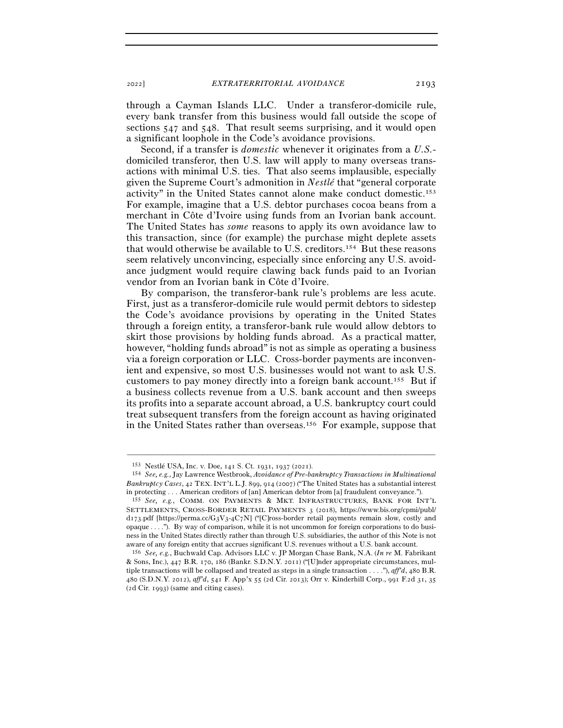through a Cayman Islands LLC. Under a transferor-domicile rule, every bank transfer from this business would fall outside the scope of sections  $547$  and  $548$ . That result seems surprising, and it would open a significant loophole in the Code's avoidance provisions.

Second, if a transfer is *domestic* whenever it originates from a *U.S.* domiciled transferor, then U.S. law will apply to many overseas transactions with minimal U.S. ties. That also seems implausible, especially given the Supreme Court's admonition in *Nestlé* that "general corporate activity" in the United States cannot alone make conduct domestic.153 For example, imagine that a U.S. debtor purchases cocoa beans from a merchant in Côte d'Ivoire using funds from an Ivorian bank account. The United States has *some* reasons to apply its own avoidance law to this transaction, since (for example) the purchase might deplete assets that would otherwise be available to U.S. creditors.154 But these reasons seem relatively unconvincing, especially since enforcing any U.S. avoidance judgment would require clawing back funds paid to an Ivorian vendor from an Ivorian bank in Côte d'Ivoire.

By comparison, the transferor-bank rule's problems are less acute. First, just as a transferor-domicile rule would permit debtors to sidestep the Code's avoidance provisions by operating in the United States through a foreign entity, a transferor-bank rule would allow debtors to skirt those provisions by holding funds abroad. As a practical matter, however, "holding funds abroad" is not as simple as operating a business via a foreign corporation or LLC. Cross-border payments are inconvenient and expensive, so most U.S. businesses would not want to ask U.S. customers to pay money directly into a foreign bank account.155 But if a business collects revenue from a U.S. bank account and then sweeps its profits into a separate account abroad, a U.S. bankruptcy court could treat subsequent transfers from the foreign account as having originated in the United States rather than overseas.156 For example, suppose that

<sup>153</sup> Nestlé USA, Inc. v. Doe, 141 S. Ct. 1931, 1937 (<sup>2021</sup>). 154 *See, e.g.*, Jay Lawrence Westbrook, *Avoidance of Pre-bankruptcy Transactions in Multinational Bankruptcy Cases*, 42 TEX. INT'L L.J. 899, 914 (2007) ("The United States has a substantial interest in protecting . . . American creditors of [an] American debtor from [a] fraudulent conveyance."). 155 *See, e.g.*, COMM. ON PAYMENTS & MKT. INFRASTRUCTURES, BANK FOR INT'L

SETTLEMENTS, CROSS-BORDER RETAIL PAYMENTS 3 (2018), https://www.bis.org/cpmi/publ/  $d_{173}$ .pdf [https://perma.cc/G3V3-4C7N] ("[C]ross-border retail payments remain slow, costly and opaque . . . ."). By way of comparison, while it is not uncommon for foreign corporations to do business in the United States directly rather than through U.S. subsidiaries, the author of this Note is not aware of any foreign entity that accrues significant U.S. revenues without a U.S. bank account.

<sup>156</sup> *See, e.g.*, Buchwald Cap. Advisors LLC v. JP Morgan Chase Bank, N.A. (*In re* M. Fabrikant & Sons, Inc.), 447 B.R. 170, 186 (Bankr. S.D.N.Y. 2011) ("[U]nder appropriate circumstances, multiple transactions will be collapsed and treated as steps in a single transaction . . . ."), *aff'd*, 480 B.R. 480 (S.D.N.Y. 2012), *aff'd*, 541 F. App'x 55 (2d Cir. 2013); Orr v. Kinderhill Corp., 991 F.2d 31, 35 (2d Cir. 1993) (same and citing cases).